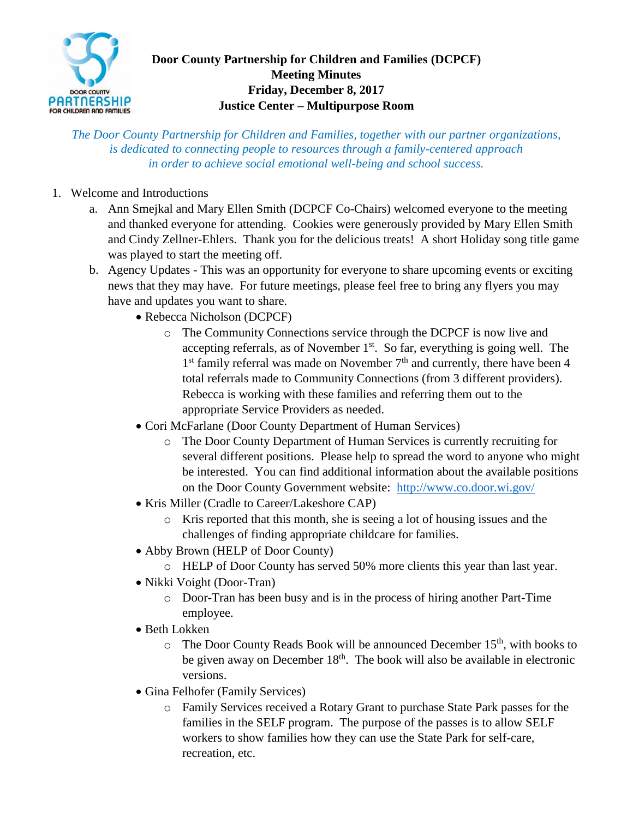

## **Door County Partnership for Children and Families (DCPCF) Meeting Minutes Friday, December 8, 2017 Justice Center – Multipurpose Room**

*The Door County Partnership for Children and Families, together with our partner organizations, is dedicated to connecting people to resources through a family-centered approach in order to achieve social emotional well-being and school success.*

- 1. Welcome and Introductions
	- a. Ann Smejkal and Mary Ellen Smith (DCPCF Co-Chairs) welcomed everyone to the meeting and thanked everyone for attending. Cookies were generously provided by Mary Ellen Smith and Cindy Zellner-Ehlers. Thank you for the delicious treats! A short Holiday song title game was played to start the meeting off.
	- b. Agency Updates This was an opportunity for everyone to share upcoming events or exciting news that they may have. For future meetings, please feel free to bring any flyers you may have and updates you want to share.
		- Rebecca Nicholson (DCPCF)
			- o The Community Connections service through the DCPCF is now live and accepting referrals, as of November  $1<sup>st</sup>$ . So far, everything is going well. The  $1<sup>st</sup>$  family referral was made on November  $7<sup>th</sup>$  and currently, there have been 4 total referrals made to Community Connections (from 3 different providers). Rebecca is working with these families and referring them out to the appropriate Service Providers as needed.
		- Cori McFarlane (Door County Department of Human Services)
			- o The Door County Department of Human Services is currently recruiting for several different positions. Please help to spread the word to anyone who might be interested. You can find additional information about the available positions on the Door County Government website: <http://www.co.door.wi.gov/>
		- Kris Miller (Cradle to Career/Lakeshore CAP)
			- o Kris reported that this month, she is seeing a lot of housing issues and the challenges of finding appropriate childcare for families.
		- Abby Brown (HELP of Door County)
			- o HELP of Door County has served 50% more clients this year than last year.
		- Nikki Voight (Door-Tran)
			- o Door-Tran has been busy and is in the process of hiring another Part-Time employee.
		- Beth Lokken
			- $\circ$  The Door County Reads Book will be announced December 15<sup>th</sup>, with books to be given away on December  $18<sup>th</sup>$ . The book will also be available in electronic versions.
		- Gina Felhofer (Family Services)
			- o Family Services received a Rotary Grant to purchase State Park passes for the families in the SELF program. The purpose of the passes is to allow SELF workers to show families how they can use the State Park for self-care, recreation, etc.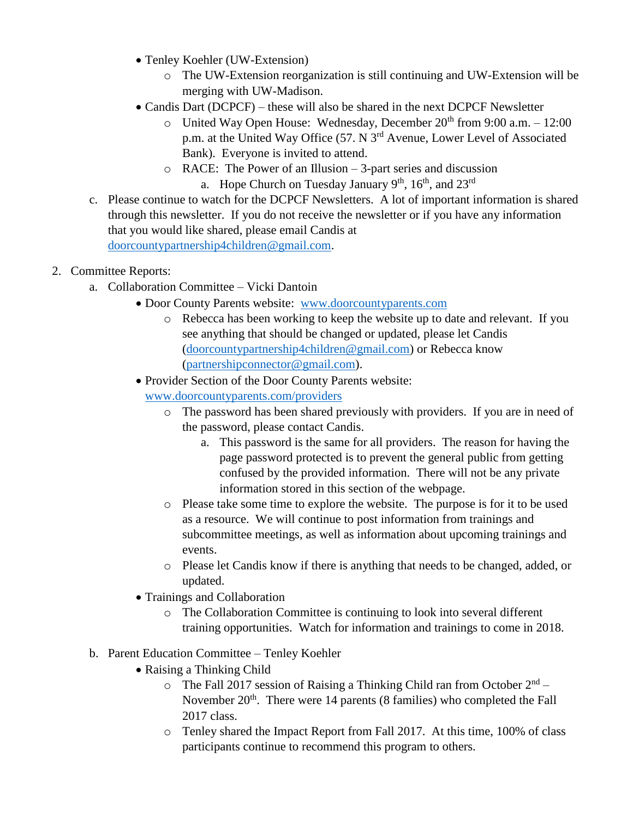- Tenley Koehler (UW-Extension)
	- o The UW-Extension reorganization is still continuing and UW-Extension will be merging with UW-Madison.
- Candis Dart (DCPCF) these will also be shared in the next DCPCF Newsletter
	- o United Way Open House: Wednesday, December  $20<sup>th</sup>$  from 9:00 a.m.  $-12:00$ p.m. at the United Way Office (57. N 3rd Avenue, Lower Level of Associated Bank). Everyone is invited to attend.
	- o RACE: The Power of an Illusion 3-part series and discussion a. Hope Church on Tuesday January  $9<sup>th</sup>$ ,  $16<sup>th</sup>$ , and  $23<sup>rd</sup>$
- c. Please continue to watch for the DCPCF Newsletters. A lot of important information is shared through this newsletter. If you do not receive the newsletter or if you have any information that you would like shared, please email Candis at [doorcountypartnership4children@gmail.com.](mailto:doorcountypartnership4children@gmail.com)

## 2. Committee Reports:

- a. Collaboration Committee Vicki Dantoin
	- Door County Parents website: [www.doorcountyparents.com](http://www.doorcountyparents.com/)
		- o Rebecca has been working to keep the website up to date and relevant. If you see anything that should be changed or updated, please let Candis [\(doorcountypartnership4children@gmail.com\)](mailto:doorcountypartnership4children@gmail.com) or Rebecca know [\(partnershipconnector@gmail.com\)](mailto:partnershipconnector@gmail.com).
		- Provider Section of the Door County Parents website: [www.doorcountyparents.com/providers](http://www.doorcountyparents.com/providers)
			- o The password has been shared previously with providers. If you are in need of the password, please contact Candis.
				- a. This password is the same for all providers. The reason for having the page password protected is to prevent the general public from getting confused by the provided information. There will not be any private information stored in this section of the webpage.
			- o Please take some time to explore the website. The purpose is for it to be used as a resource. We will continue to post information from trainings and subcommittee meetings, as well as information about upcoming trainings and events.
			- o Please let Candis know if there is anything that needs to be changed, added, or updated.
		- Trainings and Collaboration
			- o The Collaboration Committee is continuing to look into several different training opportunities. Watch for information and trainings to come in 2018.
- b. Parent Education Committee Tenley Koehler
	- Raising a Thinking Child
		- $\circ$  The Fall 2017 session of Raising a Thinking Child ran from October  $2^{nd}$  November  $20<sup>th</sup>$ . There were 14 parents (8 families) who completed the Fall 2017 class.
		- o Tenley shared the Impact Report from Fall 2017. At this time, 100% of class participants continue to recommend this program to others.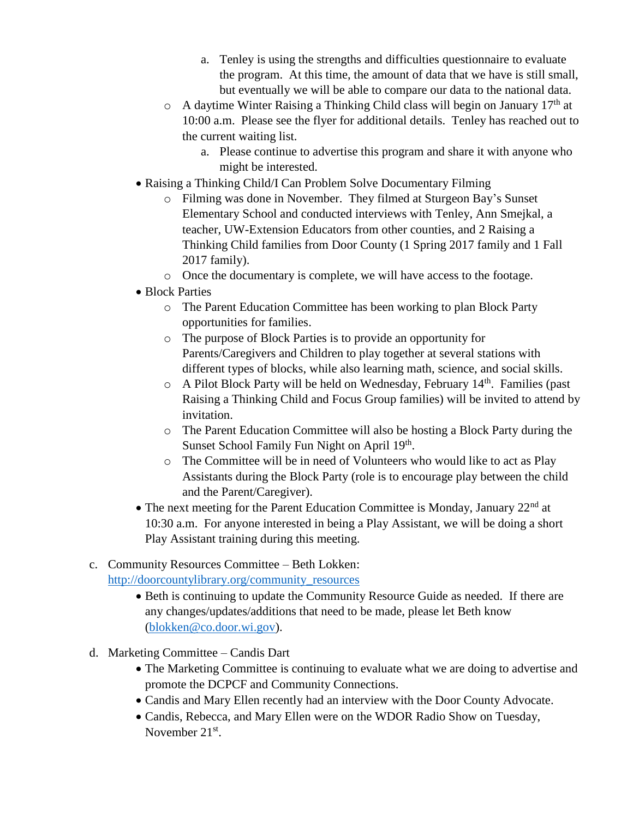- a. Tenley is using the strengths and difficulties questionnaire to evaluate the program. At this time, the amount of data that we have is still small, but eventually we will be able to compare our data to the national data.
- $\circ$  A daytime Winter Raising a Thinking Child class will begin on January 17<sup>th</sup> at 10:00 a.m. Please see the flyer for additional details. Tenley has reached out to the current waiting list.
	- a. Please continue to advertise this program and share it with anyone who might be interested.
- Raising a Thinking Child/I Can Problem Solve Documentary Filming
	- o Filming was done in November. They filmed at Sturgeon Bay's Sunset Elementary School and conducted interviews with Tenley, Ann Smejkal, a teacher, UW-Extension Educators from other counties, and 2 Raising a Thinking Child families from Door County (1 Spring 2017 family and 1 Fall 2017 family).
	- o Once the documentary is complete, we will have access to the footage.
- Block Parties
	- o The Parent Education Committee has been working to plan Block Party opportunities for families.
	- o The purpose of Block Parties is to provide an opportunity for Parents/Caregivers and Children to play together at several stations with different types of blocks, while also learning math, science, and social skills.
	- o A Pilot Block Party will be held on Wednesday, February 14<sup>th</sup>. Families (past Raising a Thinking Child and Focus Group families) will be invited to attend by invitation.
	- o The Parent Education Committee will also be hosting a Block Party during the Sunset School Family Fun Night on April 19<sup>th</sup>.
	- o The Committee will be in need of Volunteers who would like to act as Play Assistants during the Block Party (role is to encourage play between the child and the Parent/Caregiver).
- The next meeting for the Parent Education Committee is Monday, January  $22<sup>nd</sup>$  at 10:30 a.m. For anyone interested in being a Play Assistant, we will be doing a short Play Assistant training during this meeting.
- c. Community Resources Committee Beth Lokken: [http://doorcountylibrary.org/community\\_resources](http://doorcountylibrary.org/community_resources)
	- Beth is continuing to update the Community Resource Guide as needed. If there are any changes/updates/additions that need to be made, please let Beth know [\(blokken@co.door.wi.gov\)](mailto:blokken@co.door.wi.gov).
- d. Marketing Committee Candis Dart
	- The Marketing Committee is continuing to evaluate what we are doing to advertise and promote the DCPCF and Community Connections.
	- Candis and Mary Ellen recently had an interview with the Door County Advocate.
	- Candis, Rebecca, and Mary Ellen were on the WDOR Radio Show on Tuesday, November  $21<sup>st</sup>$ .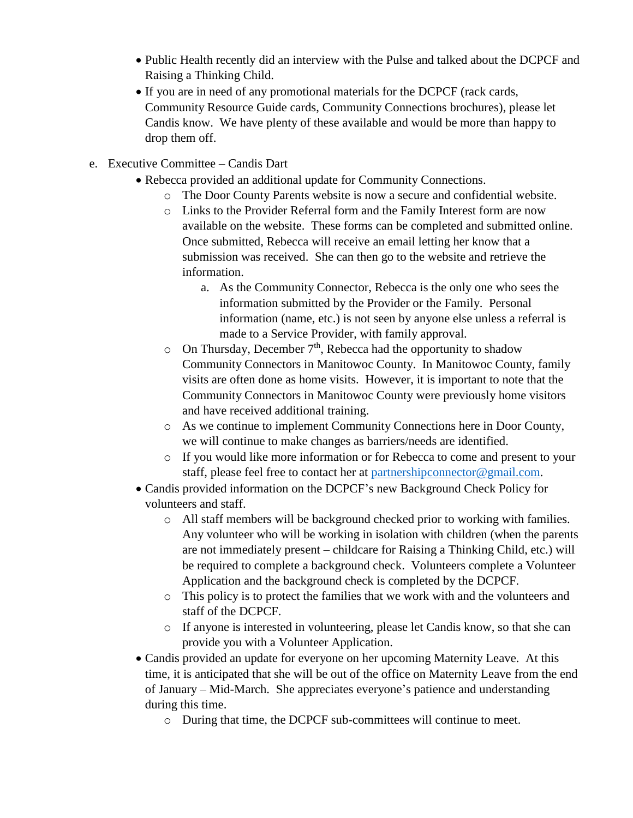- Public Health recently did an interview with the Pulse and talked about the DCPCF and Raising a Thinking Child.
- If you are in need of any promotional materials for the DCPCF (rack cards, Community Resource Guide cards, Community Connections brochures), please let Candis know. We have plenty of these available and would be more than happy to drop them off.
- e. Executive Committee Candis Dart
	- Rebecca provided an additional update for Community Connections.
		- o The Door County Parents website is now a secure and confidential website.
		- o Links to the Provider Referral form and the Family Interest form are now available on the website. These forms can be completed and submitted online. Once submitted, Rebecca will receive an email letting her know that a submission was received. She can then go to the website and retrieve the information.
			- a. As the Community Connector, Rebecca is the only one who sees the information submitted by the Provider or the Family. Personal information (name, etc.) is not seen by anyone else unless a referral is made to a Service Provider, with family approval.
		- $\circ$  On Thursday, December 7<sup>th</sup>, Rebecca had the opportunity to shadow Community Connectors in Manitowoc County. In Manitowoc County, family visits are often done as home visits. However, it is important to note that the Community Connectors in Manitowoc County were previously home visitors and have received additional training.
		- o As we continue to implement Community Connections here in Door County, we will continue to make changes as barriers/needs are identified.
		- o If you would like more information or for Rebecca to come and present to your staff, please feel free to contact her at [partnershipconnector@gmail.com.](mailto:partnershipconnector@gmail.com)
	- Candis provided information on the DCPCF's new Background Check Policy for volunteers and staff.
		- o All staff members will be background checked prior to working with families. Any volunteer who will be working in isolation with children (when the parents are not immediately present – childcare for Raising a Thinking Child, etc.) will be required to complete a background check. Volunteers complete a Volunteer Application and the background check is completed by the DCPCF.
		- o This policy is to protect the families that we work with and the volunteers and staff of the DCPCF.
		- o If anyone is interested in volunteering, please let Candis know, so that she can provide you with a Volunteer Application.
	- Candis provided an update for everyone on her upcoming Maternity Leave. At this time, it is anticipated that she will be out of the office on Maternity Leave from the end of January – Mid-March. She appreciates everyone's patience and understanding during this time.
		- o During that time, the DCPCF sub-committees will continue to meet.